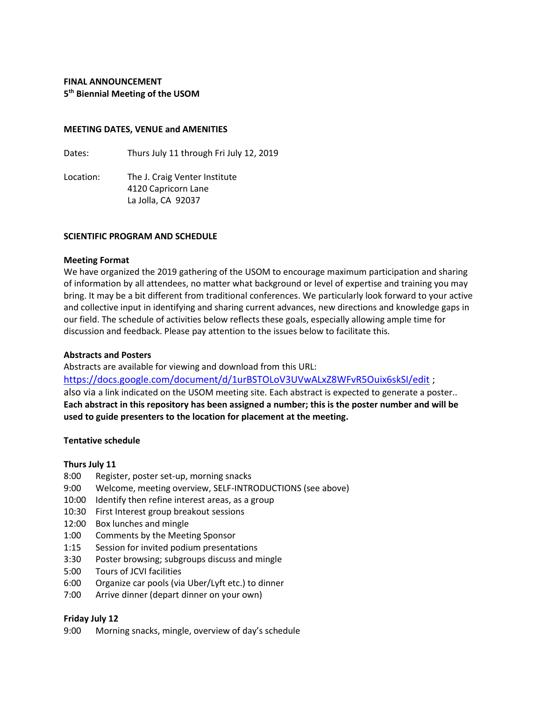# **FINAL ANNOUNCEMENT 5 th Biennial Meeting of the USOM**

### **MEETING DATES, VENUE and AMENITIES**

Dates: Thurs July 11 through Fri July 12, 2019

Location: The J. Craig Venter Institute 4120 Capricorn Lane La Jolla, CA 92037

### **SCIENTIFIC PROGRAM AND SCHEDULE**

### **Meeting Format**

We have organized the 2019 gathering of the USOM to encourage maximum participation and sharing of information by all attendees, no matter what background or level of expertise and training you may bring. It may be a bit different from traditional conferences. We particularly look forward to your active and collective input in identifying and sharing current advances, new directions and knowledge gaps in our field. The schedule of activities below reflects these goals, especially allowing ample time for discussion and feedback. Please pay attention to the issues below to facilitate this.

### **Abstracts and Posters**

Abstracts are available for viewing and download from this URL:

[https://docs.google.com/document/d/1urBSTOLoV3UVwALxZ8WFvR5Ouix6skSI/edit](https://protect-us.mimecast.com/s/nH--CpY70QiAvO2hJCsjU?domain=docs.google.com) ; also via a link indicated on the USOM meeting site. Each abstract is expected to generate a poster.. **Each abstract in this repository has been assigned a number; this is the poster number and will be used to guide presenters to the location for placement at the meeting.**

### **Tentative schedule**

### **Thurs July 11**

- 8:00 Register, poster set-up, morning snacks
- 9:00 Welcome, meeting overview, SELF-INTRODUCTIONS (see above)
- 10:00 Identify then refine interest areas, as a group
- 10:30 First Interest group breakout sessions
- 12:00 Box lunches and mingle
- 1:00 Comments by the Meeting Sponsor
- 1:15 Session for invited podium presentations
- 3:30 Poster browsing; subgroups discuss and mingle
- 5:00 Tours of JCVI facilities
- 6:00 Organize car pools (via Uber/Lyft etc.) to dinner
- 7:00 Arrive dinner (depart dinner on your own)

## **Friday July 12**

9:00 Morning snacks, mingle, overview of day's schedule